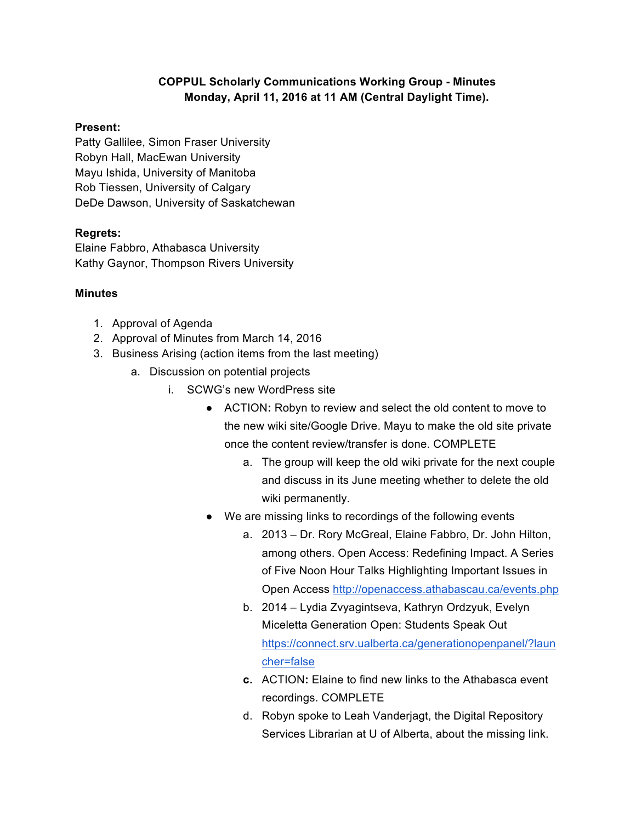## **COPPUL Scholarly Communications Working Group - Minutes Monday, April 11, 2016 at 11 AM (Central Daylight Time).**

## **Present:**

Patty Gallilee, Simon Fraser University Robyn Hall, MacEwan University Mayu Ishida, University of Manitoba Rob Tiessen, University of Calgary DeDe Dawson, University of Saskatchewan

## **Regrets:**

Elaine Fabbro, Athabasca University Kathy Gaynor, Thompson Rivers University

## **Minutes**

- 1. Approval of Agenda
- 2. Approval of Minutes from March 14, 2016
- 3. Business Arising (action items from the last meeting)
	- a. Discussion on potential projects
		- i. SCWG's new WordPress site
			- ACTION**:** Robyn to review and select the old content to move to the new wiki site/Google Drive. Mayu to make the old site private once the content review/transfer is done. COMPLETE
				- a. The group will keep the old wiki private for the next couple and discuss in its June meeting whether to delete the old wiki permanently.
			- We are missing links to recordings of the following events
				- a. 2013 Dr. Rory McGreal, Elaine Fabbro, Dr. John Hilton, among others. Open Access: Redefining Impact. A Series of Five Noon Hour Talks Highlighting Important Issues in Open Access http://openaccess.athabascau.ca/events.php
				- b. 2014 Lydia Zvyagintseva, Kathryn Ordzyuk, Evelyn Miceletta Generation Open: Students Speak Out https://connect.srv.ualberta.ca/generationopenpanel/?laun cher=false
				- **c.** ACTION**:** Elaine to find new links to the Athabasca event recordings. COMPLETE
				- d. Robyn spoke to Leah Vanderjagt, the Digital Repository Services Librarian at U of Alberta, about the missing link.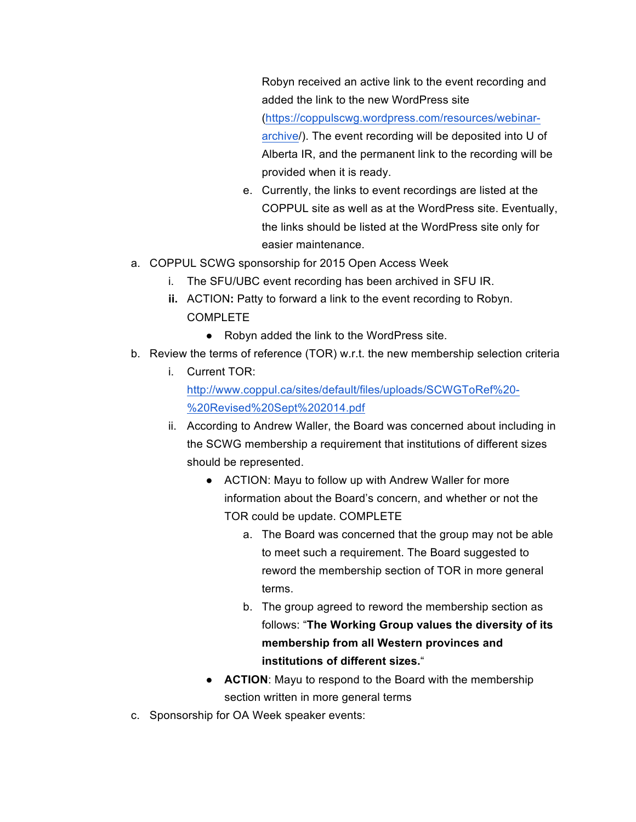Robyn received an active link to the event recording and added the link to the new WordPress site (https://coppulscwg.wordpress.com/resources/webinararchive/). The event recording will be deposited into U of Alberta IR, and the permanent link to the recording will be provided when it is ready.

- e. Currently, the links to event recordings are listed at the COPPUL site as well as at the WordPress site. Eventually, the links should be listed at the WordPress site only for easier maintenance.
- a. COPPUL SCWG sponsorship for 2015 Open Access Week
	- i. The SFU/UBC event recording has been archived in SFU IR.
	- **ii.** ACTION: Patty to forward a link to the event recording to Robyn. COMPLETE
		- Robyn added the link to the WordPress site.
- b. Review the terms of reference (TOR) w.r.t. the new membership selection criteria
	- i. Current TOR: http://www.coppul.ca/sites/default/files/uploads/SCWGToRef%20- %20Revised%20Sept%202014.pdf
	- ii. According to Andrew Waller, the Board was concerned about including in the SCWG membership a requirement that institutions of different sizes should be represented.
		- ACTION: Mayu to follow up with Andrew Waller for more information about the Board's concern, and whether or not the TOR could be update. COMPLETE
			- a. The Board was concerned that the group may not be able to meet such a requirement. The Board suggested to reword the membership section of TOR in more general terms.
			- b. The group agreed to reword the membership section as follows: "**The Working Group values the diversity of its membership from all Western provinces and institutions of different sizes.**"
		- **ACTION:** Mayu to respond to the Board with the membership section written in more general terms
- c. Sponsorship for OA Week speaker events: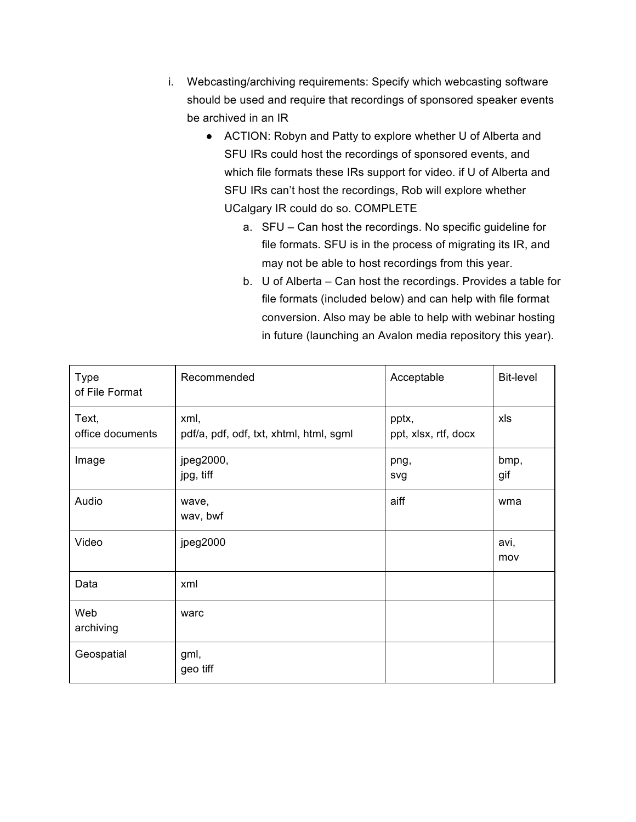- i. Webcasting/archiving requirements: Specify which webcasting software should be used and require that recordings of sponsored speaker events be archived in an IR
	- ACTION: Robyn and Patty to explore whether U of Alberta and SFU IRs could host the recordings of sponsored events, and which file formats these IRs support for video. if U of Alberta and SFU IRs can't host the recordings, Rob will explore whether UCalgary IR could do so. COMPLETE
		- a. SFU Can host the recordings. No specific guideline for file formats. SFU is in the process of migrating its IR, and may not be able to host recordings from this year.
		- b. U of Alberta Can host the recordings. Provides a table for file formats (included below) and can help with file format conversion. Also may be able to help with webinar hosting in future (launching an Avalon media repository this year).

| <b>Type</b><br>of File Format | Recommended                                     | Acceptable                    | <b>Bit-level</b> |
|-------------------------------|-------------------------------------------------|-------------------------------|------------------|
| Text,<br>office documents     | xml,<br>pdf/a, pdf, odf, txt, xhtml, html, sgml | pptx,<br>ppt, xlsx, rtf, docx | xls              |
| Image                         | jpeg2000,<br>jpg, tiff                          | png,<br>svg                   | bmp,<br>gif      |
| Audio                         | wave,<br>wav, bwf                               | aiff                          | wma              |
| Video                         | jpeg2000                                        |                               | avi,<br>mov      |
| Data                          | xml                                             |                               |                  |
| Web<br>archiving              | warc                                            |                               |                  |
| Geospatial                    | gml,<br>geo tiff                                |                               |                  |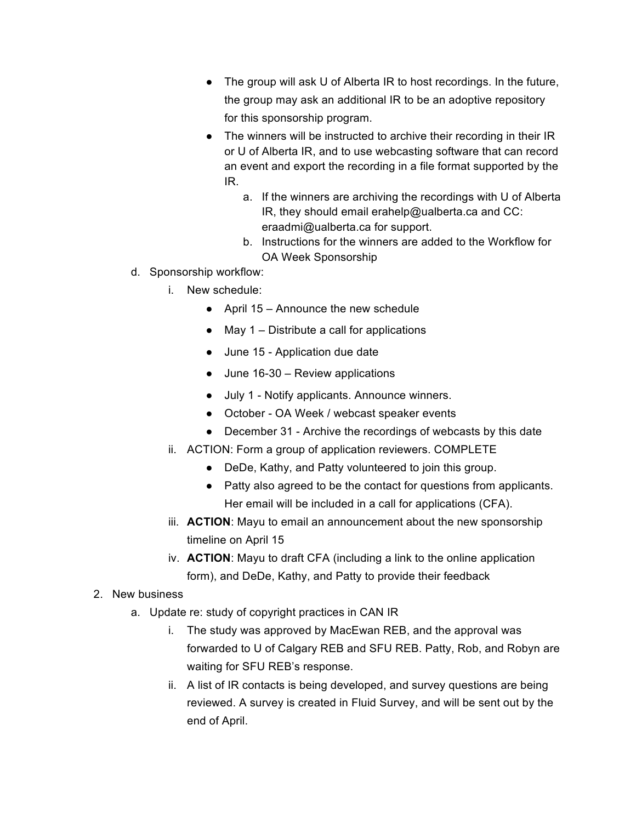- The group will ask U of Alberta IR to host recordings. In the future, the group may ask an additional IR to be an adoptive repository for this sponsorship program.
- The winners will be instructed to archive their recording in their IR or U of Alberta IR, and to use webcasting software that can record an event and export the recording in a file format supported by the IR.
	- a. If the winners are archiving the recordings with U of Alberta IR, they should email erahelp@ualberta.ca and CC: eraadmi@ualberta.ca for support.
	- b. Instructions for the winners are added to the Workflow for OA Week Sponsorship
- d. Sponsorship workflow:
	- i. New schedule:
		- April 15 Announce the new schedule
		- $\bullet$  May 1 Distribute a call for applications
		- June 15 Application due date
		- June 16-30 Review applications
		- July 1 Notify applicants. Announce winners.
		- October OA Week / webcast speaker events
		- December 31 Archive the recordings of webcasts by this date
	- ii. ACTION: Form a group of application reviewers. COMPLETE
		- DeDe, Kathy, and Patty volunteered to join this group.
		- Patty also agreed to be the contact for questions from applicants. Her email will be included in a call for applications (CFA).
	- iii. **ACTION**: Mayu to email an announcement about the new sponsorship timeline on April 15
	- iv. **ACTION**: Mayu to draft CFA (including a link to the online application form), and DeDe, Kathy, and Patty to provide their feedback
- 2. New business
	- a. Update re: study of copyright practices in CAN IR
		- i. The study was approved by MacEwan REB, and the approval was forwarded to U of Calgary REB and SFU REB. Patty, Rob, and Robyn are waiting for SFU REB's response.
		- ii. A list of IR contacts is being developed, and survey questions are being reviewed. A survey is created in Fluid Survey, and will be sent out by the end of April.